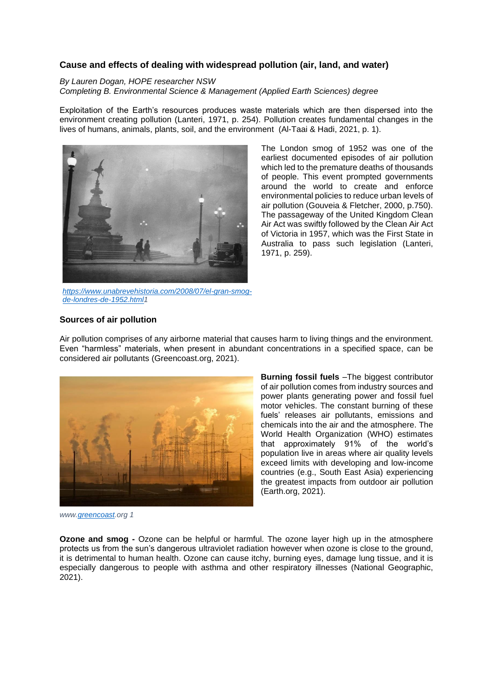# **Cause and effects of dealing with widespread pollution (air, land, and water)**

### *By Lauren Dogan, HOPE researcher NSW Completing B. Environmental Science & Management (Applied Earth Sciences) degree*

Exploitation of the Earth's resources produces waste materials which are then dispersed into the environment creating pollution (Lanteri, 1971, p. 254). Pollution creates fundamental changes in the lives of humans, animals, plants, soil, and the environment (Al-Taai & Hadi, 2021, p. 1).



*[https://www.unabrevehistoria.com/2008/07/el-gran-smog](https://www.unabrevehistoria.com/2008/07/el-gran-smog-de-londres-de-1952.html)[de-londres-de-1952.html1](https://www.unabrevehistoria.com/2008/07/el-gran-smog-de-londres-de-1952.html)*

The London smog of 1952 was one of the earliest documented episodes of air pollution which led to the premature deaths of thousands of people. This event prompted governments around the world to create and enforce environmental policies to reduce urban levels of air pollution (Gouveia & Fletcher, 2000, p.750). The passageway of the United Kingdom Clean Air Act was swiftly followed by the Clean Air Act of Victoria in 1957, which was the First State in Australia to pass such legislation (Lanteri, 1971, p. 259).

## **Sources of air pollution**

Air pollution comprises of any airborne material that causes harm to living things and the environment. Even "harmless" materials, when present in abundant concentrations in a specified space, can be considered air pollutants (Greencoast.org, 2021).



**Burning fossil fuels** –The biggest contributor of air pollution comes from industry sources and power plants generating power and fossil fuel motor vehicles. The constant burning of these fuels' releases air pollutants, emissions and chemicals into the air and the atmosphere. The World Health Organization (WHO) estimates that approximately 91% of the world's population live in areas where air quality levels exceed limits with developing and low-income countries (e.g., South East Asia) experiencing the greatest impacts from outdoor air pollution (Earth.org, 2021).

*www[.greencoast.](http://www.greecoast.org/)org 1*

**Ozone and smog -** Ozone can be helpful or harmful. The ozone layer high up in the atmosphere protects us from the sun's dangerous ultraviolet radiation however when ozone is close to the ground, it is detrimental to human health. Ozone can cause itchy, burning eyes, damage lung tissue, and it is especially dangerous to people with asthma and other respiratory illnesses (National Geographic, 2021).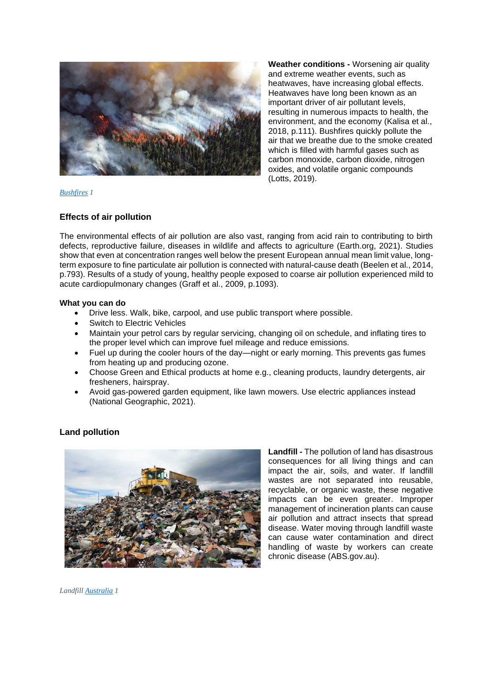

**Weather conditions -** Worsening air quality and extreme weather events, such as heatwaves, have increasing global effects. Heatwaves have long been known as an important driver of air pollutant levels, resulting in numerous impacts to health, the environment, and the economy (Kalisa et al., 2018, p.111). Bushfires quickly pollute the air that we breathe due to the smoke created which is filled with harmful gases such as carbon monoxide, carbon dioxide, nitrogen oxides, and volatile organic compounds (Lotts, 2019).

*[Bushfires](https://annecohenwrites.com/the-impact-of-forest-fires-on-air-pollution/) 1*

## **Effects of air pollution**

The environmental effects of air pollution are also vast, ranging from acid rain to contributing to birth defects, reproductive failure, diseases in wildlife and affects to agriculture (Earth.org, 2021). Studies show that even at concentration ranges well below the present European annual mean limit value, longterm exposure to fine particulate air pollution is connected with natural-cause death (Beelen et al., 2014, p.793). Results of a study of young, healthy people exposed to coarse air pollution experienced mild to acute cardiopulmonary changes (Graff et al., 2009, p.1093).

#### **What you can do**

- Drive less. Walk, bike, carpool, and use public transport where possible.
- Switch to Electric Vehicles
- Maintain your petrol cars by regular servicing, changing oil on schedule, and inflating tires to the proper level which can improve fuel mileage and reduce emissions.
- Fuel up during the cooler hours of the day—night or early morning. This prevents gas fumes from heating up and producing ozone.
- Choose Green and Ethical products at home e.g., cleaning products, laundry detergents, air fresheners, hairspray.
- Avoid gas-powered garden equipment, like lawn mowers. Use electric appliances instead (National Geographic, 2021).

## **Land pollution**



**Landfill -** The pollution of land has disastrous consequences for all living things and can impact the air, soils, and water. If landfill wastes are not separated into reusable, recyclable, or organic waste, these negative impacts can be even greater. Improper management of incineration plants can cause air pollution and attract insects that spread disease. Water moving through landfill waste can cause water contamination and direct handling of waste by workers can create chronic disease (ABS.gov.au).

*Landfill [Australia](https://www.wwf.org.au/Images/UserUploadedImages/416/img-dunbar-landfill-site-1000px.jpg) 1*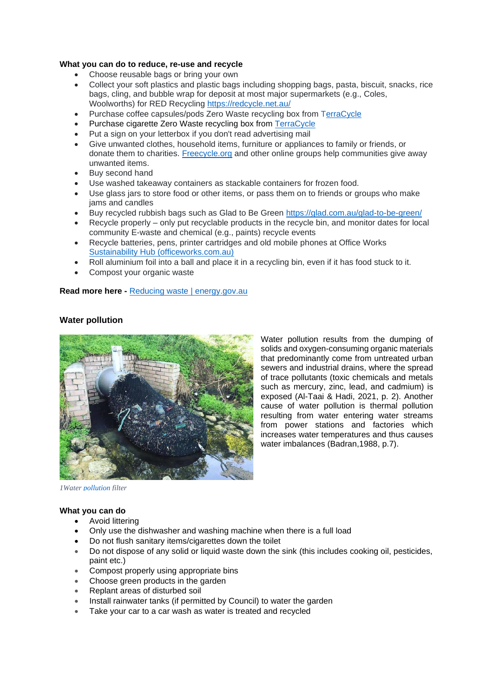## **What you can do to reduce, re-use and recycle**

- Choose reusable bags or bring your own
- Collect your soft plastics and plastic bags including shopping bags, pasta, biscuit, snacks, rice bags, cling, and bubble wrap for deposit at most major supermarkets (e.g., Coles, Woolworths) for RED Recycling<https://redcycle.net.au/>
- Purchase coffee capsules/pods Zero Waste recycling box from [TerraCycle](https://www.terracycle.com/en-AU/zero_waste_boxes/coffee-capsules-au)
- Purchase cigarette Zero Waste recycling box from [TerraCycle](https://www.terracycle.com/en-AU/zero_waste_boxes/cigarette-waste-zero-waste-box-en-au)
- Put a sign on your letterbox if you don't read advertising mail
- Give unwanted clothes, household items, furniture or appliances to family or friends, or donate them to charities. [Freecycle.org](https://www.freecycle.org/) and other online groups help communities give away unwanted items.
- Buy second hand
- Use washed takeaway containers as stackable containers for frozen food.
- Use glass jars to store food or other items, or pass them on to friends or groups who make jams and candles
- Buy recycled rubbish bags such as Glad to Be Green<https://glad.com.au/glad-to-be-green/>
- Recycle properly only put recyclable products in the recycle bin, and monitor dates for local community E-waste and chemical (e.g., paints) recycle events
- Recycle batteries, pens, printer cartridges and old mobile phones at Office Works [Sustainability Hub \(officeworks.com.au\)](https://www.officeworks.com.au/campaigns/sustainability-hub)
- Roll aluminium foil into a ball and place it in a recycling bin, even if it has food stuck to it.
- Compost your organic waste

#### **Read more here -** [Reducing waste | energy.gov.au](https://www.energy.gov.au/households/reducing-waste)



**Water pollution**

Water pollution results from the dumping of solids and oxygen-consuming organic materials that predominantly come from untreated urban sewers and industrial drains, where the spread of trace pollutants (toxic chemicals and metals such as mercury, zinc, lead, and cadmium) is exposed (Al-Taai & Hadi, 2021, p. 2). Another cause of water pollution is thermal pollution resulting from water entering water streams from power stations and factories which increases water temperatures and thus causes water imbalances (Badran,1988, p.7).

*[1Water pollution](https://www.greenmatters.com/news/2019/02/06/nyoigo1-6/australia-water-pollution-filter) filter*

#### **What you can do**

- Avoid littering
- Only use the dishwasher and washing machine when there is a full load
- Do not flush sanitary items/cigarettes down the toilet
- Do not dispose of any solid or liquid waste down the sink (this includes cooking oil, pesticides, paint etc.)
- Compost properly using appropriate bins
- Choose green products in the garden
- Replant areas of disturbed soil
- Install rainwater tanks (if permitted by Council) to water the garden
- Take your car to a car wash as water is treated and recycled